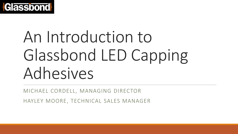

# An Introduction to Glassbond LED Capping Adhesives

MICHAEL CORDELL, MANAGING DIRECTOR

HAYLEY MOORE, TECHNICAL SALES MANAGER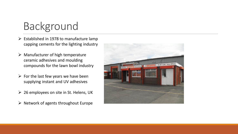### Background

- $\triangleright$  Established in 1978 to manufacture lamp capping cements for the lighting industry
- $\triangleright$  Manufacturer of high temperature ceramic adhesives and moulding compounds for the lawn bowl industry
- $\triangleright$  For the last few years we have been supplying instant and UV adhesives
- $\geq$  26 employees on site in St. Helens, UK
- $\triangleright$  Network of agents throughout Europe

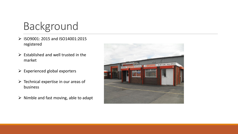### Background

- ➢ ISO9001: 2015 and ISO14001:2015 registered
- $\triangleright$  Established and well trusted in the market
- $\triangleright$  Experienced global exporters
- $\triangleright$  Technical expertise in our areas of business
- ➢ Nimble and fast moving, able to adapt

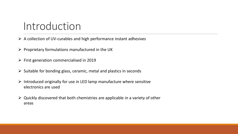#### Introduction

➢ A collection of UV-curables and high performance instant adhesives

- $\triangleright$  Proprietary formulations manufactured in the UK
- ➢ First generation commercialised in 2019
- $\triangleright$  Suitable for bonding glass, ceramic, metal and plastics in seconds
- $\triangleright$  Introduced originally for use in LED lamp manufacture where sensitive electronics are used
- $\triangleright$  Quickly discovered that both chemistries are applicable in a variety of other areas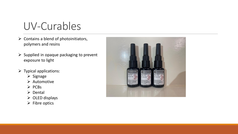#### UV-Curables

- $\triangleright$  Contains a blend of photoinitiators, polymers and resins
- $\triangleright$  Supplied in opaque packaging to prevent exposure to light
- $\triangleright$  Typical applications:
	- ➢ Signage
	- ➢ Automotive
	- ➢ PCBs
	- ➢ Dental
	- $\triangleright$  OLED displays
	- ➢ Fibre optics

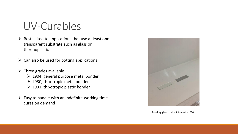#### UV-Curables

- $\triangleright$  Best suited to applications that use at least one transparent substrate such as glass or thermoplastics
- $\triangleright$  Can also be used for potting applications
- $\triangleright$  Three grades available:
	- $\geq$  L904, general purpose metal bonder
	- $\triangleright$  L930, thixotropic metal bonder
	- $\geq$  L931, thixotropic plastic bonder
- $\triangleright$  Easy to handle with an indefinite working time, cures on demand



Bonding glass to aluminium with L904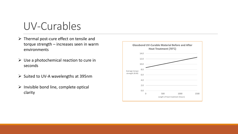#### UV-Curables

- ➢ Thermal post-cure effect on tensile and torque strength – increases seen in warm environments
- $\triangleright$  Use a photochemical reaction to cure in seconds
- ➢ Suited to UV-A wavelengths at 395nm
- $\triangleright$  Invisible bond line, complete optical clarity  $\frac{1}{\sqrt{1-\frac{1}{\sqrt{1-\frac{1}{\sqrt{1-\frac{1}{\sqrt{1-\frac{1}{\sqrt{1-\frac{1}{\sqrt{1-\frac{1}{\sqrt{1-\frac{1}{\sqrt{1-\frac{1}{\sqrt{1-\frac{1}{\sqrt{1-\frac{1}{\sqrt{1-\frac{1}{\sqrt{1-\frac{1}{\sqrt{1-\frac{1}{\sqrt{1-\frac{1}{\sqrt{1-\frac{1}{\sqrt{1-\frac{1}{\sqrt{1-\frac{1}{\sqrt{1-\frac{1}{\sqrt{1-\frac{1}{\sqrt{1-\frac{1}{\sqrt{1-\frac{1}{\sqrt{1-\frac{1}{\sqrt{1-\frac{1}{$

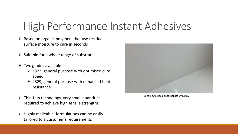## High Performance Instant Adhesives

- $\triangleright$  Based on organic polymers that use residual surface moisture to cure in seconds
- $\triangleright$  Suitable for a whole range of substrates
- $\triangleright$  Two grades available:
	- $\geq$  L822, general purpose with optimised cure speed
	- $\geq$  L829, general purpose with enhanced heat resistance
- $\triangleright$  Thin-film technology, very small quantities required to achieve high tensile strengths
- $\triangleright$  Highly malleable, formulations can be easily tailored to a customer's requirements



Bonding glass to polycarbonate with L822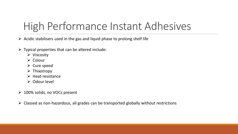## High Performance Instant Adhesives

- $\triangleright$  Acidic stabilisers used in the gas and liquid phase to prolong shelf life
- $\triangleright$  Typical properties that can be altered include:
	- ➢ Viscosity
	- ➢ Colour
	- $\triangleright$  Cure speed
	- ➢ Thixotropy
	- ➢ Heat-resistance
	- ➢ Odour level
- ➢ 100% solids, no VOCs present
- ➢ Classed as non-hazardous, all grades can be transported globally without restrictions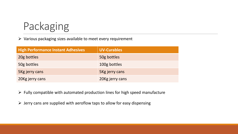

➢ Various packaging sizes available to meet every requirement

| <b>High Performance Instant Adhesives</b> | <b>UV-Curables</b> |
|-------------------------------------------|--------------------|
| 20g bottles                               | 50g bottles        |
| 50g bottles                               | 100g bottles       |
| 5Kg jerry cans                            | 5Kg jerry cans     |
| 20Kg jerry cans                           | 20Kg jerry cans    |

 $\triangleright$  Fully compatible with automated production lines for high speed manufacture

 $\triangleright$  Jerry cans are supplied with aeroflow taps to allow for easy dispensing